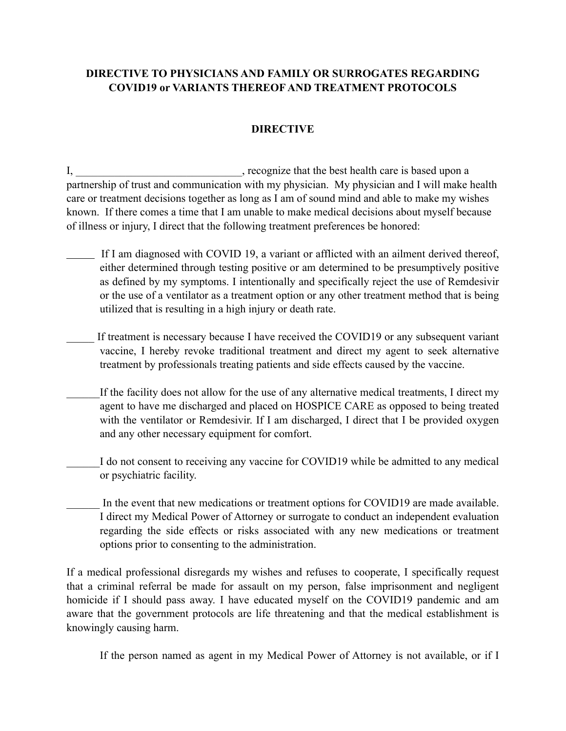## **DIRECTIVE TO PHYSICIANS AND FAMILY OR SURROGATES REGARDING COVID19 or VARIANTS THEREOF AND TREATMENT PROTOCOLS**

## **DIRECTIVE**

I, \_\_\_\_\_\_\_\_\_\_\_\_\_\_\_\_\_\_\_\_\_\_\_\_\_\_\_, recognize that the best health care is based upon a partnership of trust and communication with my physician. My physician and I will make health care or treatment decisions together as long as I am of sound mind and able to make my wishes known. If there comes a time that I am unable to make medical decisions about myself because of illness or injury, I direct that the following treatment preferences be honored:

- If I am diagnosed with COVID 19, a variant or afflicted with an ailment derived thereof, either determined through testing positive or am determined to be presumptively positive as defined by my symptoms. I intentionally and specifically reject the use of Remdesivir or the use of a ventilator as a treatment option or any other treatment method that is being utilized that is resulting in a high injury or death rate.
- If treatment is necessary because I have received the COVID19 or any subsequent variant vaccine, I hereby revoke traditional treatment and direct my agent to seek alternative treatment by professionals treating patients and side effects caused by the vaccine.
- If the facility does not allow for the use of any alternative medical treatments, I direct my agent to have me discharged and placed on HOSPICE CARE as opposed to being treated with the ventilator or Remdesivir. If I am discharged, I direct that I be provided oxygen and any other necessary equipment for comfort.
- I do not consent to receiving any vaccine for COVID19 while be admitted to any medical or psychiatric facility.
- In the event that new medications or treatment options for COVID19 are made available. I direct my Medical Power of Attorney or surrogate to conduct an independent evaluation regarding the side effects or risks associated with any new medications or treatment options prior to consenting to the administration.

If a medical professional disregards my wishes and refuses to cooperate, I specifically request that a criminal referral be made for assault on my person, false imprisonment and negligent homicide if I should pass away. I have educated myself on the COVID19 pandemic and am aware that the government protocols are life threatening and that the medical establishment is knowingly causing harm.

If the person named as agent in my Medical Power of Attorney is not available, or if I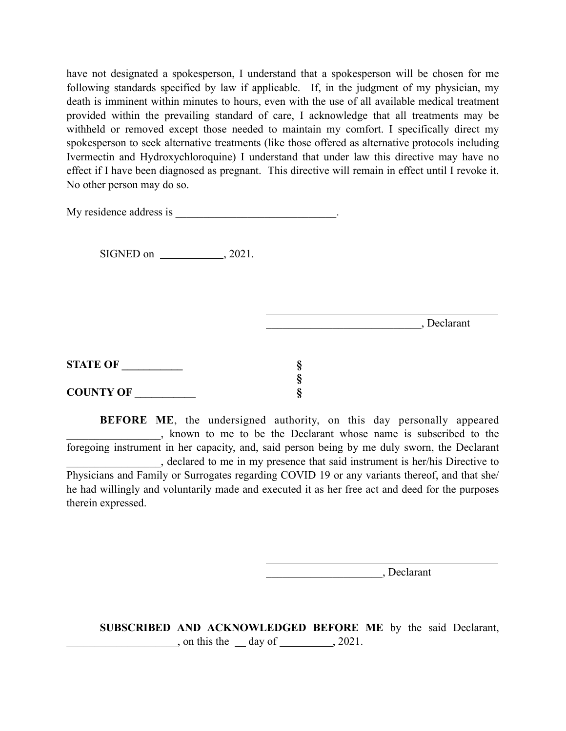have not designated a spokesperson, I understand that a spokesperson will be chosen for me following standards specified by law if applicable. If, in the judgment of my physician, my death is imminent within minutes to hours, even with the use of all available medical treatment provided within the prevailing standard of care, I acknowledge that all treatments may be withheld or removed except those needed to maintain my comfort. I specifically direct my spokesperson to seek alternative treatments (like those offered as alternative protocols including Ivermectin and Hydroxychloroquine) I understand that under law this directive may have no effect if I have been diagnosed as pregnant. This directive will remain in effect until I revoke it. No other person may do so.

My residence address is  $\blacksquare$ 

 $SIGNED$  on  $\_\_\_\_\_$ , 2021.

| Declarant |
|-----------|
|           |

| <b>STATE OF</b>  |  |
|------------------|--|
|                  |  |
| <b>COUNTY OF</b> |  |

**BEFORE ME**, the undersigned authority, on this day personally appeared \_\_\_\_\_\_\_\_\_\_\_\_\_\_\_\_\_, known to me to be the Declarant whose name is subscribed to the foregoing instrument in her capacity, and, said person being by me duly sworn, the Declarant \_\_\_\_\_\_\_\_\_\_\_\_\_\_\_\_\_, declared to me in my presence that said instrument is her/his Directive to Physicians and Family or Surrogates regarding COVID 19 or any variants thereof, and that she/ he had willingly and voluntarily made and executed it as her free act and deed for the purposes therein expressed.

\_\_\_\_\_\_\_\_\_\_\_\_\_\_\_\_\_\_\_\_\_, Declarant

**SUBSCRIBED AND ACKNOWLEDGED BEFORE ME** by the said Declarant,  $\frac{1}{2021}$ , on this the  $\frac{1}{2021}$  day of  $\frac{1}{2021}$ .